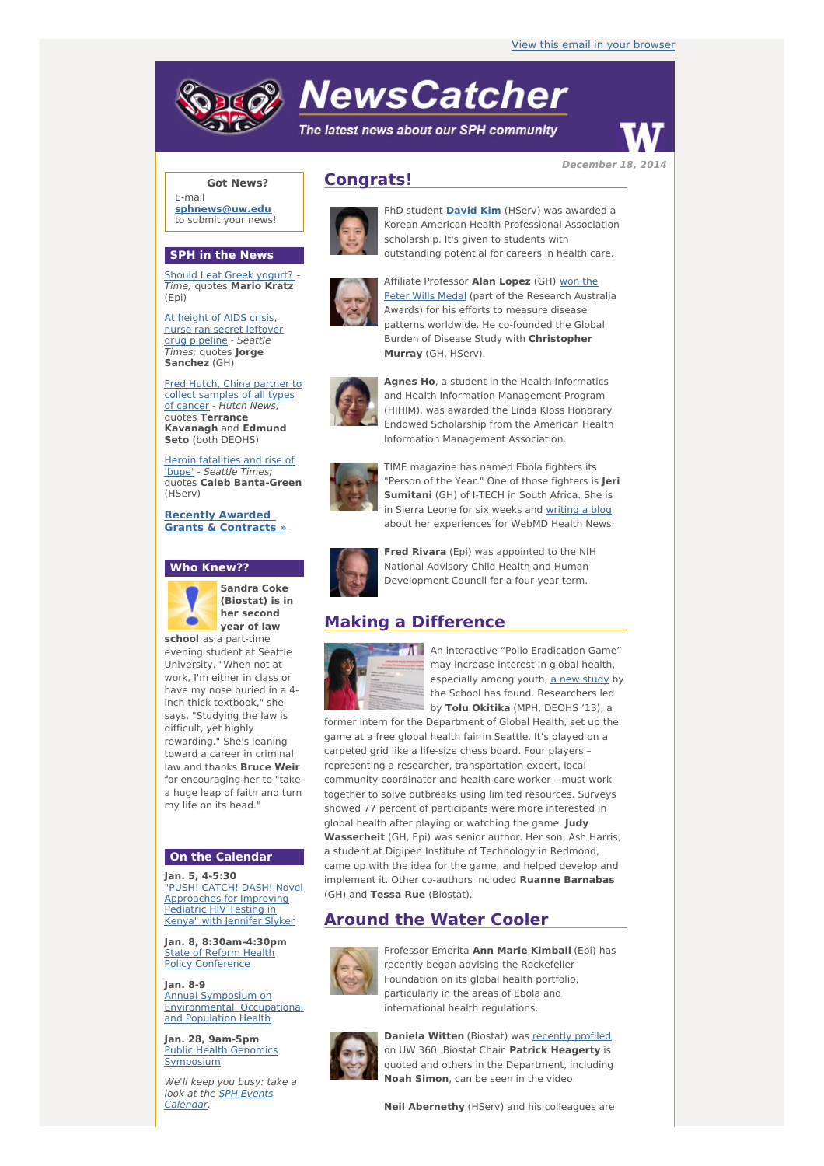# **NewsCatcher**

The latest news about our SPH community



**December 18, 2014**

#### **Got News?**

E-mail **[sphnews@uw.edu](mailto:sphnews@uw.edu)** to submit your news!

#### **SPH in the News**

Should I eat Greek [yogurt?](http://engage.washington.edu/site/R?i=nmirfrRacSVNIUT3GtBJdw) Time; quotes **Mario Kratz** (Epi)

At height of AIDS crisis, nurse ran secret [leftover](http://engage.washington.edu/site/R?i=BSZv7w1PIT3IIuNaDnUoCA) drug pipeline - Seattle Times; quotes **Jorge Sanchez** (GH)

Fred Hutch, China partner to collect [samples](http://engage.washington.edu/site/R?i=lrli_w910Mg26kJGDr9a6w) of all types of cancer - Hutch News; quotes **Terrance Kavanagh** and **Edmund Seto** (both DEOHS)

Heroin [fatalities](http://engage.washington.edu/site/R?i=z5b1aB65hGQnOVrWst2U2A) and rise of 'bupe' - Seattle Times; quotes **Caleb Banta-Green** (HServ)

**Recently Awarded Grants & [Contracts](http://engage.washington.edu/site/R?i=oG208ll4DDyxQ1Wka9ZmRw) »**

#### **Who Knew??**



**Sandra Coke (Biostat) is in her second year of law**

**school** as a part-time evening student at Seattle University. "When not at work, I'm either in class or have my nose buried in a 4 inch thick textbook," she says. "Studying the law is difficult, yet highly rewarding." She's leaning toward a career in criminal law and thanks **Bruce Weir** for encouraging her to "take a huge leap of faith and turn my life on its head."

#### **On the Calendar**

**Jan. 5, 4-5:30** "PUSH! CATCH! DASH! Novel [Approaches](http://engage.washington.edu/site/R?i=sRFlC9J0DSF0a2ICL86K9w) for Improving Pediatric HIV Testing in Kenya" with Jennifer Slyker

**Jan. 8, 8:30am-4:30pm** State of Reform Health Policy [Conference](http://engage.washington.edu/site/R?i=xmM0m308ifH_TvTnp23L2A)

**Jan. 8-9** Annual Symposium on [Environmental,](http://engage.washington.edu/site/R?i=i80Efw4r_LIQ0wsEGUNOlQ) Occupational and Population Health

**Jan. 28, 9am-5pm** Public Health Genomics [Symposium](http://engage.washington.edu/site/R?i=3zD2QaX-Gna0gUm8obxGmg)

We'll keep you busy: take a look at the <u>SPH Events</u> [Calendar.](http://engage.washington.edu/site/R?i=aYFLO2TwuMbGpq_9BhNokA)

## **Congrats!**



PhD student **[David](http://engage.washington.edu/site/R?i=q9A3TqCuKb-yDDi98zBlDg) Kim** (HServ) was awarded a Korean American Health Professional Association scholarship. It's given to students with outstanding potential for careers in health care.



Affiliate [Professor](http://engage.washington.edu/site/R?i=4D0QQn5-S5OC5ckt4lWuzQ) **Alan Lopez** (GH) won the Peter Wills Medal (part of the Research Australia Awards) for his efforts to measure disease patterns worldwide. He co-founded the Global Burden of Disease Study with **Christopher Murray** (GH, HServ).



**Agnes Ho**, a student in the Health Informatics and Health Information Management Program (HIHIM), was awarded the Linda Kloss Honorary Endowed Scholarship from the American Health Information Management Association.



TIME magazine has named Ebola fighters its "Person of the Year." One of those fighters is **Jeri Sumitani** (GH) of I-TECH in South Africa. She is in Sierra Leone for six weeks and [writing](http://engage.washington.edu/site/R?i=7_RX9b42tTlzgIYljUZQOA) a blog about her experiences for WebMD Health News.



**Fred Rivara** (Epi) was appointed to the NIH National Advisory Child Health and Human Development Council for a four-year term.

## **Making a Difference**



An interactive "Polio Eradication Game" may increase interest in global health, especially among youth, a new [study](http://engage.washington.edu/site/R?i=b9uUwmoGCFHZF5qo7nPg9w) by the School has found. Researchers led by **Tolu Okitika** (MPH, DEOHS '13), a

former intern for the Department of Global Health, set up the game at a free global health fair in Seattle. It's played on a carpeted grid like a life-size chess board. Four players – representing a researcher, transportation expert, local community coordinator and health care worker – must work together to solve outbreaks using limited resources. Surveys showed 77 percent of participants were more interested in global health after playing or watching the game. **Judy Wasserheit** (GH, Epi) was senior author. Her son, Ash Harris, a student at Digipen Institute of Technology in Redmond, came up with the idea for the game, and helped develop and implement it. Other co-authors included **Ruanne Barnabas** (GH) and **Tessa Rue** (Biostat).

## **Around the Water Cooler**



Professor Emerita **Ann Marie Kimball** (Epi) has recently began advising the Rockefeller Foundation on its global health portfolio, particularly in the areas of Ebola and international health regulations.



**Daniela Witten** (Biostat) was [recently](http://engage.washington.edu/site/R?i=anBqYtEHOnSZJUKmzuen0g) profiled on UW 360. Biostat Chair **Patrick Heagerty** is quoted and others in the Department, including **Noah Simon**, can be seen in the video.

**Neil Abernethy** (HServ) and his colleagues are